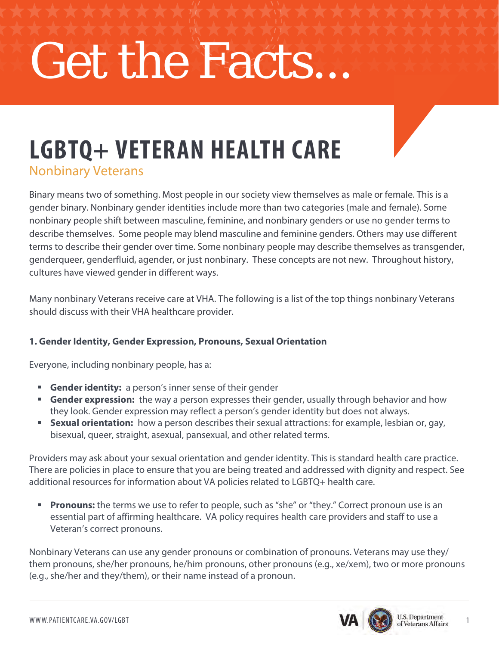# Get the Facts...

# **LGBTQ+ VETERAN HEALTH CARE**

Nonbinary Veterans

Binary means two of something. Most people in our society view themselves as male or female. This is a gender binary. Nonbinary gender identities include more than two categories (male and female). Some nonbinary people shift between masculine, feminine, and nonbinary genders or use no gender terms to describe themselves. Some people may blend masculine and feminine genders. Others may use different terms to describe their gender over time. Some nonbinary people may describe themselves as transgender, genderqueer, genderfluid, agender, or just nonbinary. These concepts are not new. Throughout history, cultures have viewed gender in different ways.

Many nonbinary Veterans receive care at VHA. The following is a list of the top things nonbinary Veterans should discuss with their VHA healthcare provider.

# **1. Gender Identity, Gender Expression, Pronouns, Sexual Orientation**

Everyone, including nonbinary people, has a:

- **Gender identity:** a person's inner sense of their gender
- **Gender expression:** the way a person expresses their gender, usually through behavior and how they look. Gender expression may reflect a person's gender identity but does not always.
- **Sexual orientation:** how a person describes their sexual attractions: for example, lesbian or, gay, bisexual, queer, straight, asexual, pansexual, and other related terms.

Providers may ask about your sexual orientation and gender identity. This is standard health care practice. There are policies in place to ensure that you are being treated and addressed with dignity and respect. See additional resources for information about VA policies related to LGBTQ+ health care.

**Pronouns:** the terms we use to refer to people, such as "she" or "they." Correct pronoun use is an essential part of affirming healthcare. VA policy requires health care providers and staff to use a Veteran's correct pronouns.

Nonbinary Veterans can use any gender pronouns or combination of pronouns. Veterans may use they/ them pronouns, she/her pronouns, he/him pronouns, other pronouns (e.g., xe/xem), two or more pronouns (e.g., she/her and they/them), or their name instead of a pronoun.

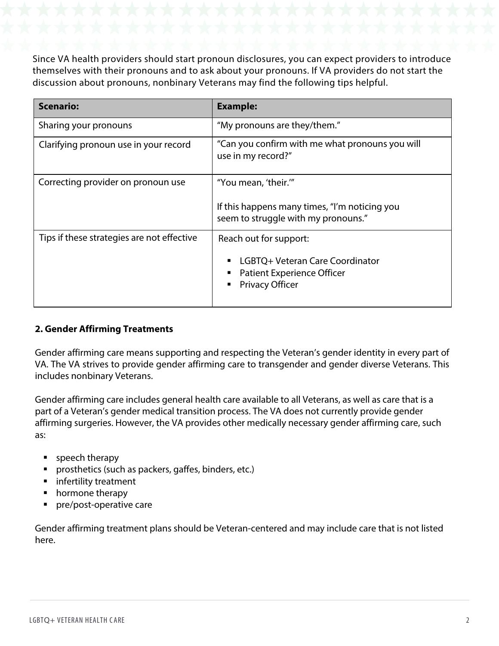Since VA health providers should start pronoun disclosures, you can expect providers to introduce themselves with their pronouns and to ask about your pronouns. If VA providers do not start the discussion about pronouns, nonbinary Veterans may find the following tips helpful.

| <b>Scenario:</b>                           | <b>Example:</b>                                                                                                          |
|--------------------------------------------|--------------------------------------------------------------------------------------------------------------------------|
| Sharing your pronouns                      | "My pronouns are they/them."                                                                                             |
| Clarifying pronoun use in your record      | "Can you confirm with me what pronouns you will<br>use in my record?"                                                    |
| Correcting provider on pronoun use         | "You mean, 'their.""<br>If this happens many times, "I'm noticing you<br>seem to struggle with my pronouns."             |
| Tips if these strategies are not effective | Reach out for support:<br>LGBTQ+ Veteran Care Coordinator<br><b>Patient Experience Officer</b><br><b>Privacy Officer</b> |

# **2. Gender Affirming Treatments**

Gender affirming care means supporting and respecting the Veteran's gender identity in every part of VA. The VA strives to provide gender affirming care to transgender and gender diverse Veterans. This includes nonbinary Veterans.

Gender affirming care includes general health care available to all Veterans, as well as care that is a part of a Veteran's gender medical transition process. The VA does not currently provide gender affirming surgeries. However, the VA provides other medically necessary gender affirming care, such as:

- **speech therapy**
- **prosthetics (such as packers, gaffes, binders, etc.)**
- **n** infertility treatment
- hormone therapy
- pre/post-operative care

Gender affirming treatment plans should be Veteran-centered and may include care that is not listed here.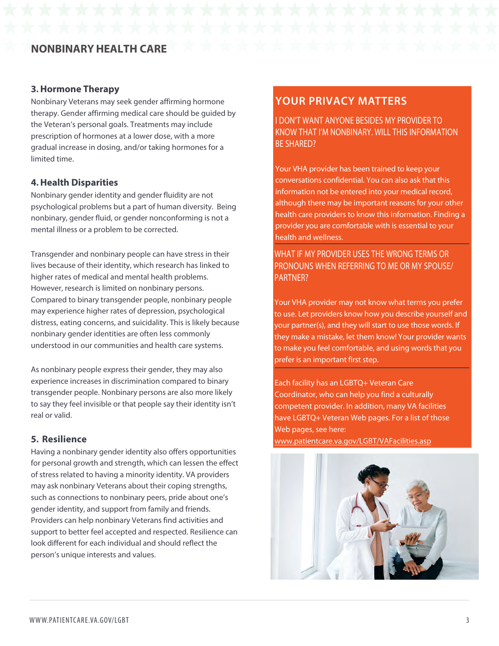# **NONBINARYHEALTH CARE**

#### **3. Hormone Therapy**

Nonbinary Veterans may seek gender affirming hormone therapy. Gender affirming medical care should be guided by the Veteran's personal goals. Treatments may include prescription of hormones at a lower dose, with a more gradual increase in dosing, and/or taking hormones for a limited time.

#### **4. Health Disparities**

Nonbinary gender identity and gender fluidity are not psychological problems but a part of human diversity. Being nonbinary, gender fluid, or gender nonconforming is not a mental illness or a problem to be corrected.

Transgender and nonbinary people can have stress in their lives because of their identity, which research has linked to higher rates of medical and mental health problems. However, research is limited on nonbinary persons. Compared to binary transgender people, nonbinary people may experience higher rates of depression, psychological distress, eating concerns, and suicidality. This is likely because nonbinary gender identities are often less commonly understood in our communities and health care systems.

As nonbinary people express their gender, they may also experience increases in discrimination compared to binary transgender people. Nonbinary persons are also more likely to say they feel invisible or that people say their identity isn't real or valid.

#### **5. Resilience**

Having a nonbinary gender identity also offers opportunities for personal growth and strength, which can lessen the effect of stress related to having a minority identity. VA providers may ask nonbinary Veterans about their coping strengths, such as connections to nonbinary peers, pride about one's gender identity, and support from family and friends. Providers can help nonbinary Veterans find activities and support to better feel accepted and respected. Resilience can look different for each individual and should reflect the person's unique interests and values.

# **YOUR PRIVACY MATTERS**

 I DON'T WANT ANYONE BESIDES MY PROVIDER TO KNOW THAT I'M NONBINARY. WILL THIS INFORMATION BE SHARED?

Your VHA provider has been trained to keep your conversations confidential. You can also ask that this information not be entered into your medical record, although there may be important reasons for your other health care providers to know this information. Finding a provider you are comfortable with is essential to your health and wellness.

 WHAT IF MY PROVIDER USES THE WRONG TERMS OR PRONOUNS WHEN REFERRING TO ME OR MY SPOUSE/ PARTNER?

Your VHA provider may not know what terms you prefer to use. Let providers know how you describe yourself and your partner(s), and they will start to use those words. If they make a mistake, let them know! Your provider wants to make you feel comfortable, and using words that you prefer is an important first step.

Each facility has an LGBTQ+ Veteran Care Coordinator, who can help you find a culturally competent provider. In addition, many VA facilities have LGBTQ+ Veteran Web pages. For a list of those Web pages, see here:

[www.patientcare.va.gov/LGBT/VAFacilities.asp](http://www.patientcare.va.gov/LGBT/VAFacilities.asp)